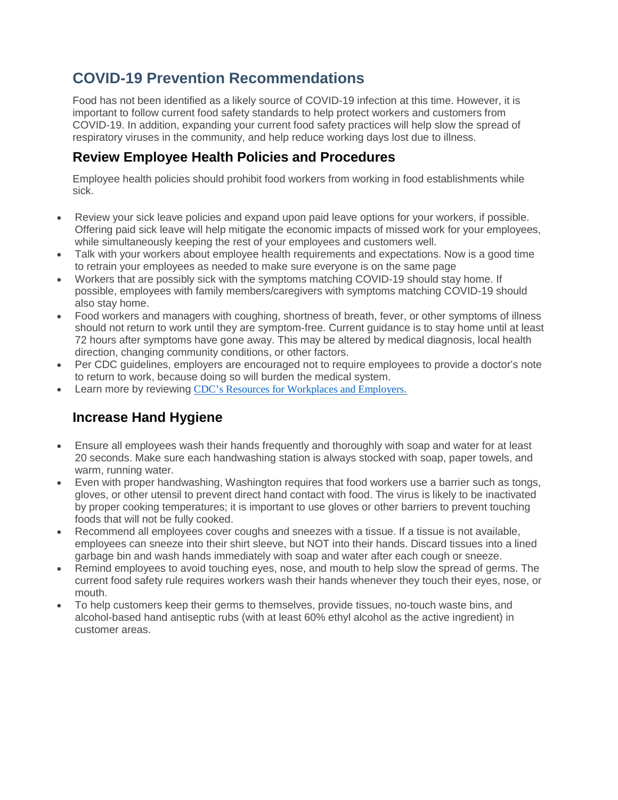# **COVID-19 Prevention Recommendations**

Food has not been identified as a likely source of COVID-19 infection at this time. However, it is important to follow current food safety standards to help protect workers and customers from COVID-19. In addition, expanding your current food safety practices will help slow the spread of respiratory viruses in the community, and help reduce working days lost due to illness.

### **Review Employee Health Policies and Procedures**

Employee health policies should prohibit food workers from working in food establishments while sick.

- Review your sick leave policies and expand upon paid leave options for your workers, if possible. Offering paid sick leave will help mitigate the economic impacts of missed work for your employees, while simultaneously keeping the rest of your employees and customers well.
- Talk with your workers about employee health requirements and expectations. Now is a good time to retrain your employees as needed to make sure everyone is on the same page
- Workers that are possibly sick with the symptoms matching COVID-19 should stay home. If possible, employees with family members/caregivers with symptoms matching COVID-19 should also stay home.
- Food workers and managers with coughing, shortness of breath, fever, or other symptoms of illness should not return to work until they are symptom-free. Current guidance is to stay home until at least 72 hours after symptoms have gone away. This may be altered by medical diagnosis, local health direction, changing community conditions, or other factors.
- Per CDC guidelines, employers are encouraged not to require employees to provide a doctor's note to return to work, because doing so will burden the medical system.
- Learn more by reviewing [CDC's Resources for Workplaces and Employers](https://www.cdc.gov/coronavirus/2019-ncov/community/guidance-business-response.html).

### **Increase Hand Hygiene**

- Ensure all employees wash their hands frequently and thoroughly with soap and water for at least 20 seconds. Make sure each handwashing station is always stocked with soap, paper towels, and warm, running water.
- Even with proper handwashing, Washington requires that food workers use a barrier such as tongs, gloves, or other utensil to prevent direct hand contact with food. The virus is likely to be inactivated by proper cooking temperatures; it is important to use gloves or other barriers to prevent touching foods that will not be fully cooked.
- Recommend all employees cover coughs and sneezes with a tissue. If a tissue is not available, employees can sneeze into their shirt sleeve, but NOT into their hands. Discard tissues into a lined garbage bin and wash hands immediately with soap and water after each cough or sneeze.
- Remind employees to avoid touching eyes, nose, and mouth to help slow the spread of germs. The current food safety rule requires workers wash their hands whenever they touch their eyes, nose, or mouth.
- To help customers keep their germs to themselves, provide tissues, no-touch waste bins, and alcohol-based hand antiseptic rubs (with at least 60% ethyl alcohol as the active ingredient) in customer areas.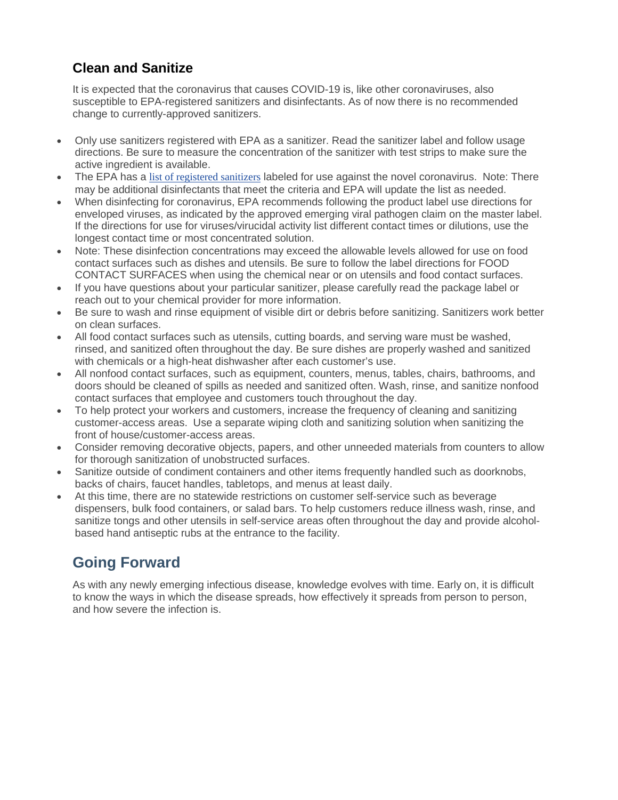### **Clean and Sanitize**

It is expected that the coronavirus that causes COVID-19 is, like other coronaviruses, also susceptible to EPA-registered sanitizers and disinfectants. As of now there is no recommended change to currently-approved sanitizers.

- Only use sanitizers registered with EPA as a sanitizer. Read the sanitizer label and follow usage directions. Be sure to measure the concentration of the sanitizer with test strips to make sure the active ingredient is available.
- The EPA has a [list of registered sanitizers](https://www.epa.gov/pesticide-registration/list-n-disinfectants-use-against-sars-cov-2) labeled for use against the novel coronavirus. Note: There may be additional disinfectants that meet the criteria and EPA will update the list as needed.
- When disinfecting for coronavirus, EPA recommends following the product label use directions for enveloped viruses, as indicated by the approved emerging viral pathogen claim on the master label. If the directions for use for viruses/virucidal activity list different contact times or dilutions, use the longest contact time or most concentrated solution.
- Note: These disinfection concentrations may exceed the allowable levels allowed for use on food contact surfaces such as dishes and utensils. Be sure to follow the label directions for FOOD CONTACT SURFACES when using the chemical near or on utensils and food contact surfaces.
- If you have questions about your particular sanitizer, please carefully read the package label or reach out to your chemical provider for more information.
- Be sure to wash and rinse equipment of visible dirt or debris before sanitizing. Sanitizers work better on clean surfaces.
- All food contact surfaces such as utensils, cutting boards, and serving ware must be washed, rinsed, and sanitized often throughout the day. Be sure dishes are properly washed and sanitized with chemicals or a high-heat dishwasher after each customer's use.
- All nonfood contact surfaces, such as equipment, counters, menus, tables, chairs, bathrooms, and doors should be cleaned of spills as needed and sanitized often. Wash, rinse, and sanitize nonfood contact surfaces that employee and customers touch throughout the day.
- To help protect your workers and customers, increase the frequency of cleaning and sanitizing customer-access areas. Use a separate wiping cloth and sanitizing solution when sanitizing the front of house/customer-access areas.
- Consider removing decorative objects, papers, and other unneeded materials from counters to allow for thorough sanitization of unobstructed surfaces.
- Sanitize outside of condiment containers and other items frequently handled such as doorknobs, backs of chairs, faucet handles, tabletops, and menus at least daily.
- At this time, there are no statewide restrictions on customer self-service such as beverage dispensers, bulk food containers, or salad bars. To help customers reduce illness wash, rinse, and sanitize tongs and other utensils in self-service areas often throughout the day and provide alcoholbased hand antiseptic rubs at the entrance to the facility.

# **Going Forward**

As with any newly emerging infectious disease, knowledge evolves with time. Early on, it is difficult to know the ways in which the disease spreads, how effectively it spreads from person to person, and how severe the infection is.